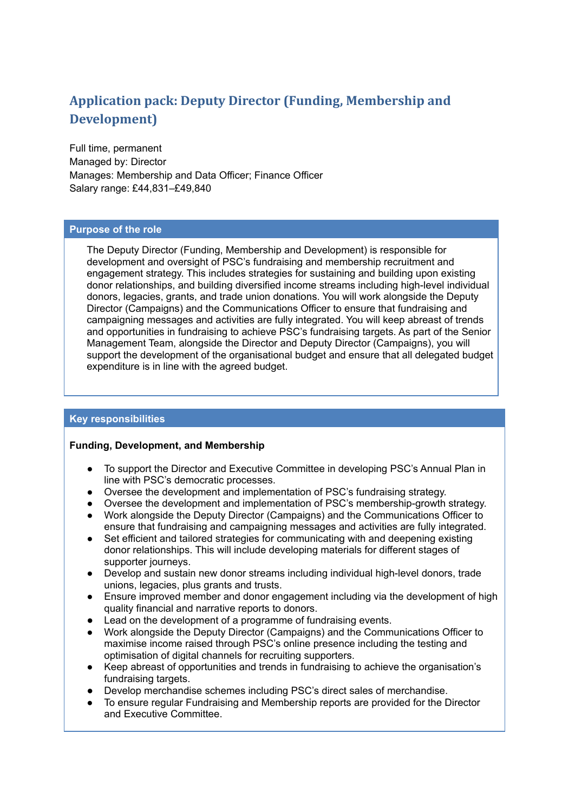# **Application pack: Deputy Director (Funding, Membership and Development)**

Full time, permanent Managed by: Director Manages: Membership and Data Officer; Finance Officer Salary range: £44,831–£49,840

#### **Purpose of the role**

The Deputy Director (Funding, Membership and Development) is responsible for development and oversight of PSC's fundraising and membership recruitment and engagement strategy. This includes strategies for sustaining and building upon existing donor relationships, and building diversified income streams including high-level individual donors, legacies, grants, and trade union donations. You will work alongside the Deputy Director (Campaigns) and the Communications Officer to ensure that fundraising and campaigning messages and activities are fully integrated. You will keep abreast of trends and opportunities in fundraising to achieve PSC's fundraising targets. As part of the Senior Management Team, alongside the Director and Deputy Director (Campaigns), you will support the development of the organisational budget and ensure that all delegated budget expenditure is in line with the agreed budget.

## **Key responsibilities**

#### **Funding, Development, and Membership**

- To support the Director and Executive Committee in developing PSC's Annual Plan in line with PSC's democratic processes.
- Oversee the development and implementation of PSC's fundraising strategy.
- Oversee the development and implementation of PSC's membership-growth strategy.
- Work alongside the Deputy Director (Campaigns) and the Communications Officer to ensure that fundraising and campaigning messages and activities are fully integrated.
- Set efficient and tailored strategies for communicating with and deepening existing donor relationships. This will include developing materials for different stages of supporter journeys.
- Develop and sustain new donor streams including individual high-level donors, trade unions, legacies, plus grants and trusts.
- Ensure improved member and donor engagement including via the development of high quality financial and narrative reports to donors.
- Lead on the development of a programme of fundraising events.
- Work alongside the Deputy Director (Campaigns) and the Communications Officer to maximise income raised through PSC's online presence including the testing and optimisation of digital channels for recruiting supporters.
- Keep abreast of opportunities and trends in fundraising to achieve the organisation's fundraising targets.
- Develop merchandise schemes including PSC's direct sales of merchandise.
- To ensure regular Fundraising and Membership reports are provided for the Director and Executive Committee.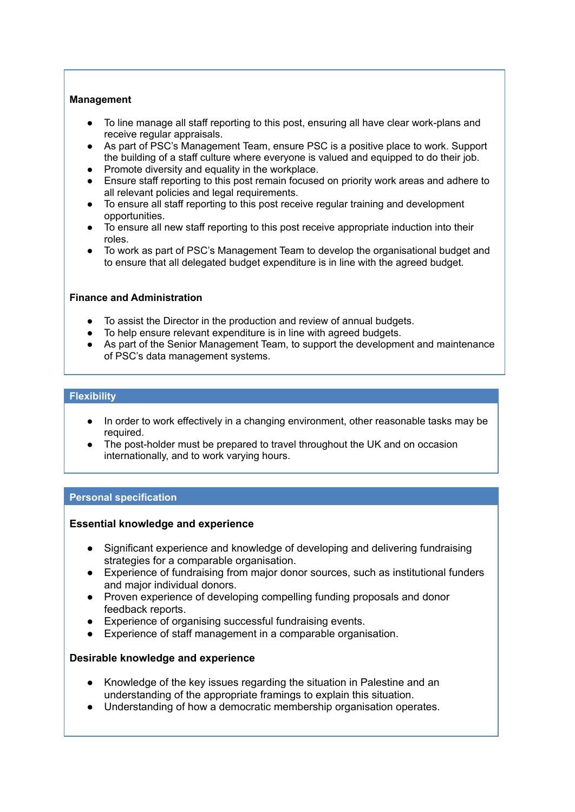### **Management**

- To line manage all staff reporting to this post, ensuring all have clear work-plans and receive regular appraisals.
- As part of PSC's Management Team, ensure PSC is a positive place to work. Support the building of a staff culture where everyone is valued and equipped to do their job.
- Promote diversity and equality in the workplace.
- Ensure staff reporting to this post remain focused on priority work areas and adhere to all relevant policies and legal requirements.
- To ensure all staff reporting to this post receive regular training and development opportunities.
- To ensure all new staff reporting to this post receive appropriate induction into their roles.
- To work as part of PSC's Management Team to develop the organisational budget and to ensure that all delegated budget expenditure is in line with the agreed budget.

#### **Finance and Administration**

- To assist the Director in the production and review of annual budgets.
- To help ensure relevant expenditure is in line with agreed budgets.
- As part of the Senior Management Team, to support the development and maintenance of PSC's data management systems.

#### **Flexibility**

- In order to work effectively in a changing environment, other reasonable tasks may be required.
- The post-holder must be prepared to travel throughout the UK and on occasion internationally, and to work varying hours.

#### **Personal specification**

#### **Essential knowledge and experience**

- Significant experience and knowledge of developing and delivering fundraising strategies for a comparable organisation.
- Experience of fundraising from major donor sources, such as institutional funders and major individual donors.
- Proven experience of developing compelling funding proposals and donor feedback reports.
- Experience of organising successful fundraising events.
- Experience of staff management in a comparable organisation.

#### **Desirable knowledge and experience**

- Knowledge of the key issues regarding the situation in Palestine and an understanding of the appropriate framings to explain this situation.
- Understanding of how a democratic membership organisation operates.